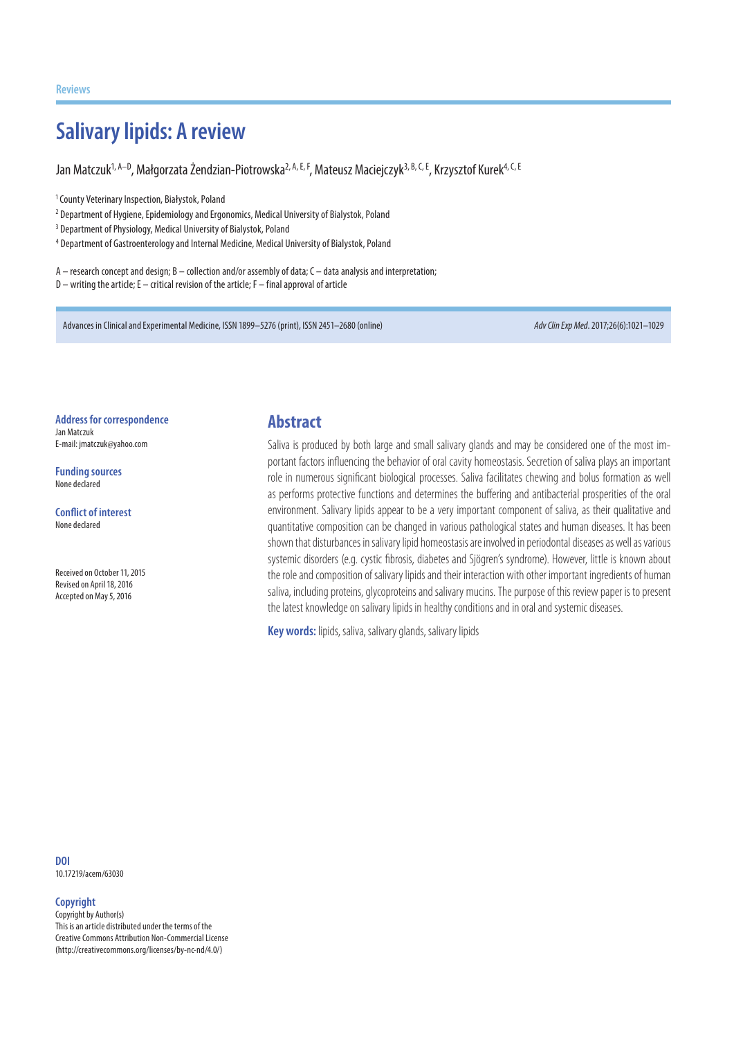# **Salivary lipids: A review**

Jan Matczuk<sup>1, A–D</sup>, Małgorzata Żendzian-Piotrowska<sup>2, A, E, F</sup>, Mateusz Maciejczyk<sup>3, B, C, E</sup>, Krzysztof Kurek<sup>4, C, E</sup>

<sup>1</sup> County Veterinary Inspection, Białystok, Poland

 $^2$  Department of Hygiene, Epidemiology and Ergonomics, Medical University of Bialystok, Poland

<sup>3</sup> Department of Physiology, Medical University of Bialystok, Poland

4 Department of Gastroenterology and Internal Medicine, Medical University of Bialystok, Poland

A – research concept and design; B – collection and/or assembly of data; C – data analysis and interpretation; D – writing the article; E – critical revision of the article; F – final approval of article

Advances in Clinical and Experimental Medicine, ISSN 1899–5276 (print), ISSN 2451–2680 (online) *Adv Clin Exp Med*. 2017;26(6):1021–1029

**Address for correspondence** Jan Matczuk

E-mail: jmatczuk@yahoo.com

**Funding sources** None declared

#### **Conflict of interest** None declared

Received on October 11, 2015 Revised on April 18, 2016 Accepted on May 5, 2016

#### **Abstract**

Saliva is produced by both large and small salivary glands and may be considered one of the most important factors influencing the behavior of oral cavity homeostasis. Secretion of saliva plays an important role in numerous significant biological processes. Saliva facilitates chewing and bolus formation as well as performs protective functions and determines the buffering and antibacterial prosperities of the oral environment. Salivary lipids appear to be a very important component of saliva, as their qualitative and quantitative composition can be changed in various pathological states and human diseases. It has been shown that disturbances in salivary lipid homeostasis are involved in periodontal diseases as well as various systemic disorders (e.g. cystic fibrosis, diabetes and Sjögren's syndrome). However, little is known about the role and composition of salivary lipids and their interaction with other important ingredients of human saliva, including proteins, glycoproteins and salivary mucins. The purpose of this review paper is to present the latest knowledge on salivary lipids in healthy conditions and in oral and systemic diseases.

**Key words:** lipids, saliva, salivary glands, salivary lipids

**DOI** 10.17219/acem/63030

#### **Copyright**

Copyright by Author(s) This is an article distributed under the terms of the Creative Commons Attribution Non-Commercial License (http://creativecommons.org/licenses/by-nc-nd/4.0/)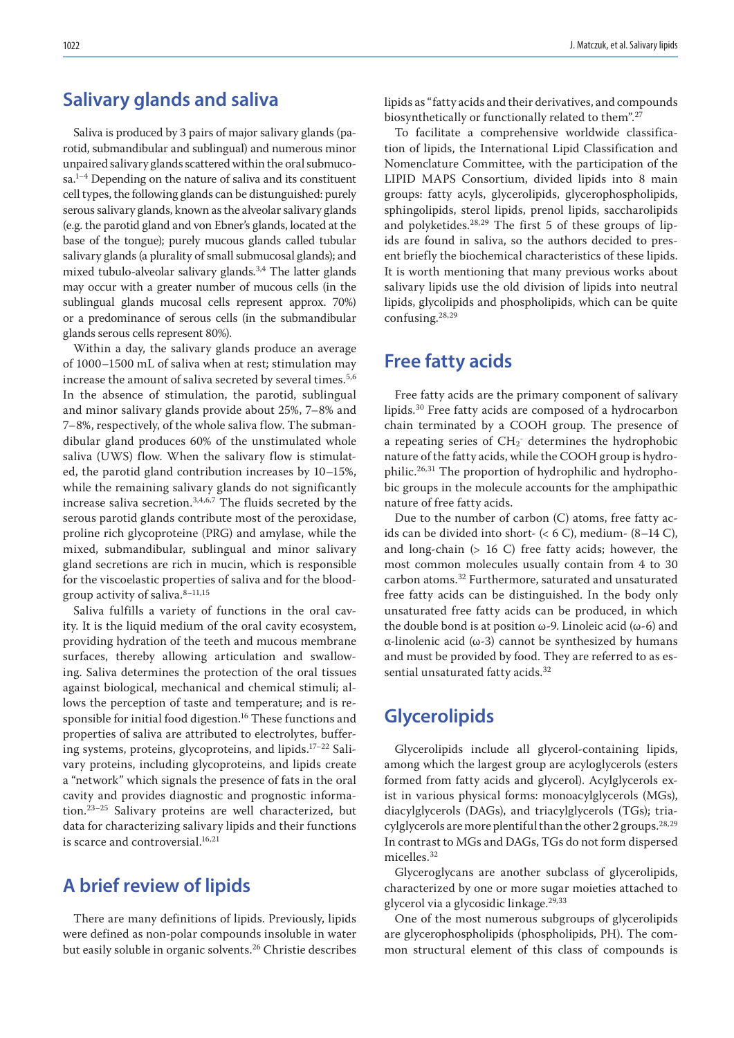### **Salivary glands and saliva**

Saliva is produced by 3 pairs of major salivary glands (parotid, submandibular and sublingual) and numerous minor unpaired salivary glands scattered within the oral submuco $sa^{1-4}$  Depending on the nature of saliva and its constituent cell types, the following glands can be distunguished: purely serous salivary glands, known as the alveolar salivary glands (e.g. the parotid gland and von Ebner's glands, located at the base of the tongue); purely mucous glands called tubular salivary glands (a plurality of small submucosal glands); and mixed tubulo-alveolar salivary glands. $3,4$  The latter glands may occur with a greater number of mucous cells (in the sublingual glands mucosal cells represent approx. 70%) or a predominance of serous cells (in the submandibular glands serous cells represent 80%).

Within a day, the salivary glands produce an average of 1000–1500 mL of saliva when at rest; stimulation may increase the amount of saliva secreted by several times.<sup>5,6</sup> In the absence of stimulation, the parotid, sublingual and minor salivary glands provide about 25%, 7–8% and 7–8%, respectively, of the whole saliva flow. The submandibular gland produces 60% of the unstimulated whole saliva (UWS) flow. When the salivary flow is stimulated, the parotid gland contribution increases by 10–15%, while the remaining salivary glands do not significantly increase saliva secretion.3,4,6,7 The fluids secreted by the serous parotid glands contribute most of the peroxidase, proline rich glycoproteine (PRG) and amylase, while the mixed, submandibular, sublingual and minor salivary gland secretions are rich in mucin, which is responsible for the viscoelastic properties of saliva and for the bloodgroup activity of saliva. $8-11,15$ 

Saliva fulfills a variety of functions in the oral cavity. It is the liquid medium of the oral cavity ecosystem, providing hydration of the teeth and mucous membrane surfaces, thereby allowing articulation and swallowing. Saliva determines the protection of the oral tissues against biological, mechanical and chemical stimuli; allows the perception of taste and temperature; and is responsible for initial food digestion.<sup>16</sup> These functions and properties of saliva are attributed to electrolytes, buffering systems, proteins, glycoproteins, and lipids.17–22 Salivary proteins, including glycoproteins, and lipids create a "network" which signals the presence of fats in the oral cavity and provides diagnostic and prognostic information.23–25 Salivary proteins are well characterized, but data for characterizing salivary lipids and their functions is scarce and controversial.<sup>16,21</sup>

## **A brief review of lipids**

There are many definitions of lipids. Previously, lipids were defined as non-polar compounds insoluble in water but easily soluble in organic solvents.26 Christie describes lipids as "fatty acids and their derivatives, and compounds biosynthetically or functionally related to them".<sup>27</sup>

To facilitate a comprehensive worldwide classification of lipids, the International Lipid Classification and Nomenclature Committee, with the participation of the LIPID MAPS Consortium, divided lipids into 8 main groups: fatty acyls, glycerolipids, glycerophospholipids, sphingolipids, sterol lipids, prenol lipids, saccharolipids and polyketides. $28,29$  The first 5 of these groups of lipids are found in saliva, so the authors decided to present briefly the biochemical characteristics of these lipids. It is worth mentioning that many previous works about salivary lipids use the old division of lipids into neutral lipids, glycolipids and phospholipids, which can be quite confusing.28,29

### **Free fatty acids**

Free fatty acids are the primary component of salivary lipids.30 Free fatty acids are composed of a hydrocarbon chain terminated by a COOH group. The presence of a repeating series of  $CH_2^-$  determines the hydrophobic nature of the fatty acids, while the COOH group is hydrophilic.26,31 The proportion of hydrophilic and hydrophobic groups in the molecule accounts for the amphipathic nature of free fatty acids.

Due to the number of carbon (C) atoms, free fatty acids can be divided into short- (< 6 C), medium- (8–14 C), and long-chain (> 16 C) free fatty acids; however, the most common molecules usually contain from 4 to 30 carbon atoms.32 Furthermore, saturated and unsaturated free fatty acids can be distinguished. In the body only unsaturated free fatty acids can be produced, in which the double bond is at position ω-9. Linoleic acid (ω-6) and α-linolenic acid (ω-3) cannot be synthesized by humans and must be provided by food. They are referred to as essential unsaturated fatty acids.<sup>32</sup>

### **Glycerolipids**

Glycerolipids include all glycerol-containing lipids, among which the largest group are acyloglycerols (esters formed from fatty acids and glycerol). Acylglycerols exist in various physical forms: monoacylglycerols (MGs), diacylglycerols (DAGs), and triacylglycerols (TGs); triacylglycerols are more plentiful than the other 2 groups.<sup>28,29</sup> In contrast to MGs and DAGs, TGs do not form dispersed micelles.<sup>32</sup>

Glyceroglycans are another subclass of glycerolipids, characterized by one or more sugar moieties attached to glycerol via a glycosidic linkage.<sup>29,33</sup>

One of the most numerous subgroups of glycerolipids are glycerophospholipids (phospholipids, PH). The common structural element of this class of compounds is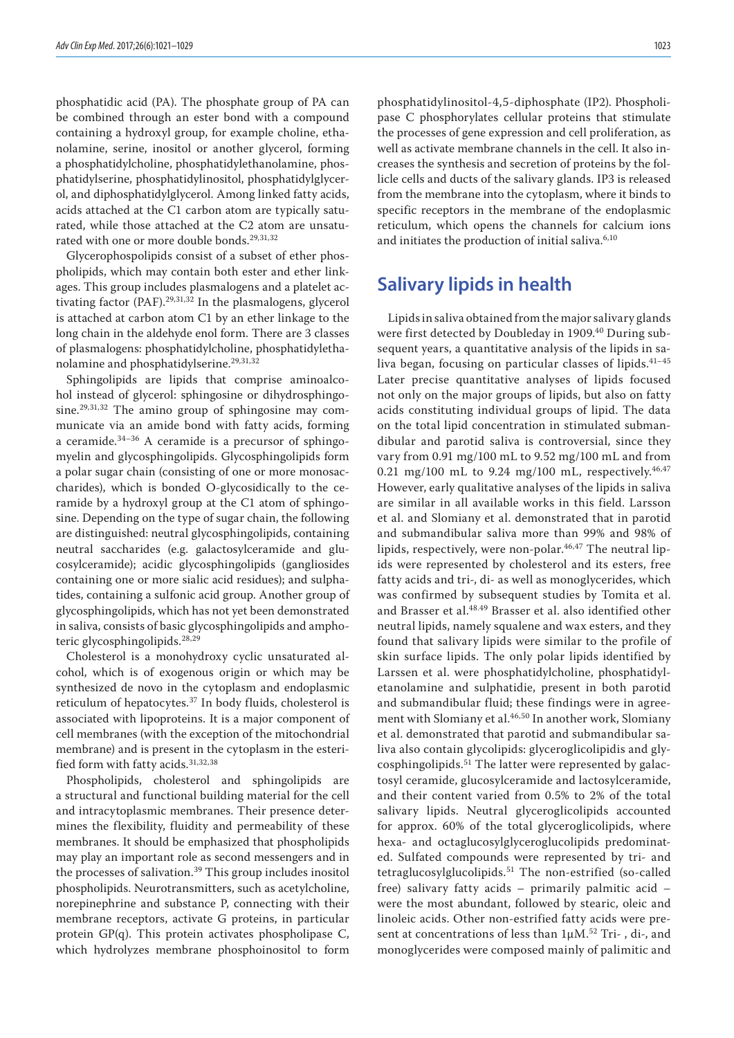phosphatidic acid (PA). The phosphate group of PA can be combined through an ester bond with a compound containing a hydroxyl group, for example choline, ethanolamine, serine, inositol or another glycerol, forming a phosphatidylcholine, phosphatidylethanolamine, phosphatidylserine, phosphatidylinositol, phosphatidylglycerol, and diphosphatidylglycerol. Among linked fatty acids, acids attached at the C1 carbon atom are typically saturated, while those attached at the C2 atom are unsaturated with one or more double bonds.<sup>29,31,32</sup>

Glycerophospolipids consist of a subset of ether phospholipids, which may contain both ester and ether linkages. This group includes plasmalogens and a platelet activating factor (PAF).<sup>29,31,32</sup> In the plasmalogens, glycerol is attached at carbon atom C1 by an ether linkage to the long chain in the aldehyde enol form. There are 3 classes of plasmalogens: phosphatidylcholine, phosphatidylethanolamine and phosphatidylserine.29,31,32

Sphingolipids are lipids that comprise aminoalcohol instead of glycerol: sphingosine or dihydrosphingosine.29,31,32 The amino group of sphingosine may communicate via an amide bond with fatty acids, forming a ceramide.34–36 A ceramide is a precursor of sphingomyelin and glycosphingolipids. Glycosphingolipids form a polar sugar chain (consisting of one or more monosaccharides), which is bonded O-glycosidically to the ceramide by a hydroxyl group at the C1 atom of sphingosine. Depending on the type of sugar chain, the following are distinguished: neutral glycosphingolipids, containing neutral saccharides (e.g. galactosylceramide and glucosylceramide); acidic glycosphingolipids (gangliosides containing one or more sialic acid residues); and sulphatides, containing a sulfonic acid group. Another group of glycosphingolipids, which has not yet been demonstrated in saliva, consists of basic glycosphingolipids and amphoteric glycosphingolipids.28,29

Cholesterol is a monohydroxy cyclic unsaturated alcohol, which is of exogenous origin or which may be synthesized de novo in the cytoplasm and endoplasmic reticulum of hepatocytes.37 In body fluids, cholesterol is associated with lipoproteins. It is a major component of cell membranes (with the exception of the mitochondrial membrane) and is present in the cytoplasm in the esterified form with fatty acids.31,32,38

Phospholipids, cholesterol and sphingolipids are a structural and functional building material for the cell and intracytoplasmic membranes. Their presence determines the flexibility, fluidity and permeability of these membranes. It should be emphasized that phospholipids may play an important role as second messengers and in the processes of salivation.<sup>39</sup> This group includes inositol phospholipids. Neurotransmitters, such as acetylcholine, norepinephrine and substance P, connecting with their membrane receptors, activate G proteins, in particular protein GP(q). This protein activates phospholipase C, which hydrolyzes membrane phosphoinositol to form

phosphatidylinositol-4,5-diphosphate (IP2). Phospholipase C phosphorylates cellular proteins that stimulate the processes of gene expression and cell proliferation, as well as activate membrane channels in the cell. It also increases the synthesis and secretion of proteins by the follicle cells and ducts of the salivary glands. IP3 is released from the membrane into the cytoplasm, where it binds to specific receptors in the membrane of the endoplasmic reticulum, which opens the channels for calcium ions and initiates the production of initial saliva.<sup>6,10</sup>

# **Salivary lipids in health**

Lipids in saliva obtained from the major salivary glands were first detected by Doubleday in 1909.<sup>40</sup> During subsequent years, a quantitative analysis of the lipids in saliva began, focusing on particular classes of lipids.41–45 Later precise quantitative analyses of lipids focused not only on the major groups of lipids, but also on fatty acids constituting individual groups of lipid. The data on the total lipid concentration in stimulated submandibular and parotid saliva is controversial, since they vary from 0.91 mg/100 mL to 9.52 mg/100 mL and from 0.21 mg/100 mL to 9.24 mg/100 mL, respectively.<sup>46,47</sup> However, early qualitative analyses of the lipids in saliva are similar in all available works in this field. Larsson et al. and Slomiany et al. demonstrated that in parotid and submandibular saliva more than 99% and 98% of lipids, respectively, were non-polar.<sup>46,47</sup> The neutral lipids were represented by cholesterol and its esters, free fatty acids and tri-, di- as well as monoglycerides, which was confirmed by subsequent studies by Tomita et al. and Brasser et al.<sup>48.49</sup> Brasser et al. also identified other neutral lipids, namely squalene and wax esters, and they found that salivary lipids were similar to the profile of skin surface lipids. The only polar lipids identified by Larssen et al. were phosphatidylcholine, phosphatidyletanolamine and sulphatidie, present in both parotid and submandibular fluid; these findings were in agreement with Slomiany et al.<sup>46,50</sup> In another work, Slomiany et al. demonstrated that parotid and submandibular saliva also contain glycolipids: glyceroglicolipidis and glycosphingolipids.51 The latter were represented by galactosyl ceramide, glucosylceramide and lactosylceramide, and their content varied from 0.5% to 2% of the total salivary lipids. Neutral glyceroglicolipids accounted for approx. 60% of the total glyceroglicolipids, where hexa- and octaglucosylglyceroglucolipids predominated. Sulfated compounds were represented by tri- and tetraglucosylglucolipids.51 The non-estrified (so-called free) salivary fatty acids – primarily palmitic acid – were the most abundant, followed by stearic, oleic and linoleic acids. Other non-estrified fatty acids were present at concentrations of less than 1µM.<sup>52</sup> Tri-, di-, and monoglycerides were composed mainly of palimitic and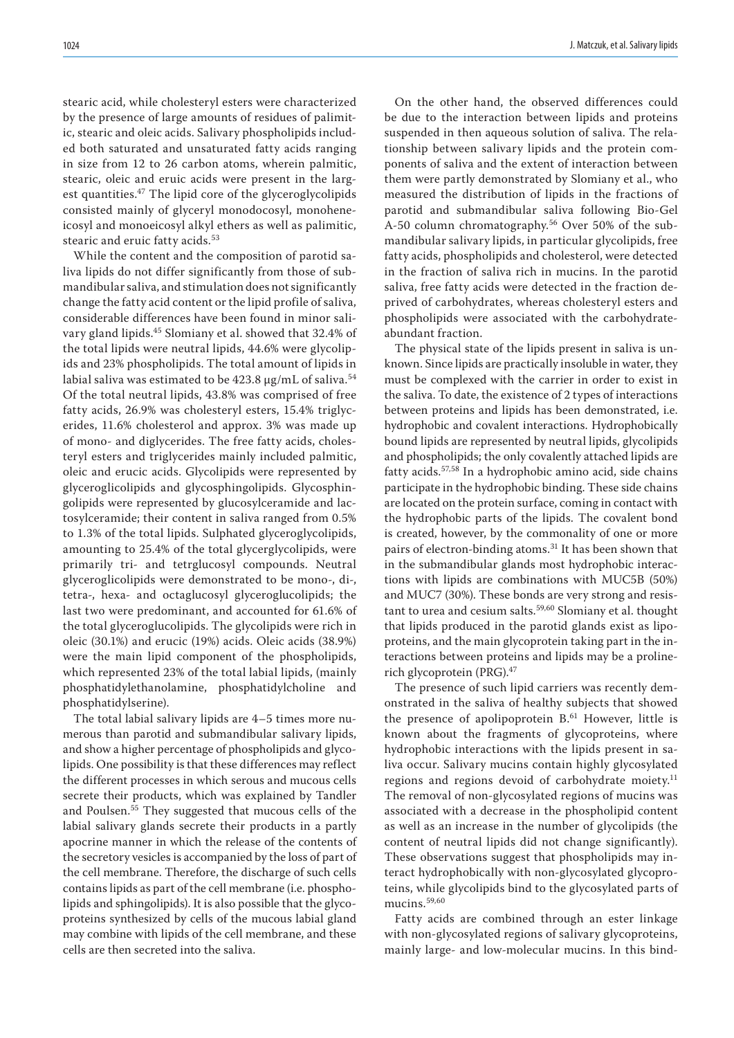stearic acid, while cholesteryl esters were characterized by the presence of large amounts of residues of palimitic, stearic and oleic acids. Salivary phospholipids included both saturated and unsaturated fatty acids ranging in size from 12 to 26 carbon atoms, wherein palmitic, stearic, oleic and eruic acids were present in the largest quantities.<sup>47</sup> The lipid core of the glyceroglycolipids consisted mainly of glyceryl monodocosyl, monoheneicosyl and monoeicosyl alkyl ethers as well as palimitic, stearic and eruic fatty acids.<sup>53</sup>

While the content and the composition of parotid saliva lipids do not differ significantly from those of submandibular saliva, and stimulation does not significantly change the fatty acid content or the lipid profile of saliva, considerable differences have been found in minor salivary gland lipids.45 Slomiany et al. showed that 32.4% of the total lipids were neutral lipids, 44.6% were glycolipids and 23% phospholipids. The total amount of lipids in labial saliva was estimated to be  $423.8 \mu$ g/mL of saliva.<sup>54</sup> Of the total neutral lipids, 43.8% was comprised of free fatty acids, 26.9% was cholesteryl esters, 15.4% triglycerides, 11.6% cholesterol and approx. 3% was made up of mono- and diglycerides. The free fatty acids, cholesteryl esters and triglycerides mainly included palmitic, oleic and erucic acids. Glycolipids were represented by glyceroglicolipids and glycosphingolipids. Glycosphingolipids were represented by glucosylceramide and lactosylceramide; their content in saliva ranged from 0.5% to 1.3% of the total lipids. Sulphated glyceroglycolipids, amounting to 25.4% of the total glycerglycolipids, were primarily tri- and tetrglucosyl compounds. Neutral glyceroglicolipids were demonstrated to be mono-, di-, tetra-, hexa- and octaglucosyl glyceroglucolipids; the last two were predominant, and accounted for 61.6% of the total glyceroglucolipids. The glycolipids were rich in oleic (30.1%) and erucic (19%) acids. Oleic acids (38.9%) were the main lipid component of the phospholipids, which represented 23% of the total labial lipids, (mainly phosphatidylethanolamine, phosphatidylcholine and phosphatidylserine).

The total labial salivary lipids are 4–5 times more numerous than parotid and submandibular salivary lipids, and show a higher percentage of phospholipids and glycolipids. One possibility is that these differences may reflect the different processes in which serous and mucous cells secrete their products, which was explained by Tandler and Poulsen.55 They suggested that mucous cells of the labial salivary glands secrete their products in a partly apocrine manner in which the release of the contents of the secretory vesicles is accompanied by the loss of part of the cell membrane. Therefore, the discharge of such cells contains lipids as part of the cell membrane (i.e. phospholipids and sphingolipids). It is also possible that the glycoproteins synthesized by cells of the mucous labial gland may combine with lipids of the cell membrane, and these cells are then secreted into the saliva.

On the other hand, the observed differences could be due to the interaction between lipids and proteins suspended in then aqueous solution of saliva. The relationship between salivary lipids and the protein components of saliva and the extent of interaction between them were partly demonstrated by Slomiany et al., who measured the distribution of lipids in the fractions of parotid and submandibular saliva following Bio-Gel A-50 column chromatography.56 Over 50% of the submandibular salivary lipids, in particular glycolipids, free fatty acids, phospholipids and cholesterol, were detected in the fraction of saliva rich in mucins. In the parotid saliva, free fatty acids were detected in the fraction deprived of carbohydrates, whereas cholesteryl esters and phospholipids were associated with the carbohydrateabundant fraction.

The physical state of the lipids present in saliva is unknown. Since lipids are practically insoluble in water, they must be complexed with the carrier in order to exist in the saliva. To date, the existence of 2 types of interactions between proteins and lipids has been demonstrated, i.e. hydrophobic and covalent interactions. Hydrophobically bound lipids are represented by neutral lipids, glycolipids and phospholipids; the only covalently attached lipids are fatty acids.57,58 In a hydrophobic amino acid, side chains participate in the hydrophobic binding. These side chains are located on the protein surface, coming in contact with the hydrophobic parts of the lipids. The covalent bond is created, however, by the commonality of one or more pairs of electron-binding atoms.31 It has been shown that in the submandibular glands most hydrophobic interactions with lipids are combinations with MUC5B (50%) and MUC7 (30%). These bonds are very strong and resistant to urea and cesium salts.<sup>59,60</sup> Slomiany et al. thought that lipids produced in the parotid glands exist as lipoproteins, and the main glycoprotein taking part in the interactions between proteins and lipids may be a prolinerich glycoprotein (PRG).47

The presence of such lipid carriers was recently demonstrated in the saliva of healthy subjects that showed the presence of apolipoprotein B.61 However, little is known about the fragments of glycoproteins, where hydrophobic interactions with the lipids present in saliva occur. Salivary mucins contain highly glycosylated regions and regions devoid of carbohydrate moiety.<sup>11</sup> The removal of non-glycosylated regions of mucins was associated with a decrease in the phospholipid content as well as an increase in the number of glycolipids (the content of neutral lipids did not change significantly). These observations suggest that phospholipids may interact hydrophobically with non-glycosylated glycoproteins, while glycolipids bind to the glycosylated parts of mucins.<sup>59,60</sup>

Fatty acids are combined through an ester linkage with non-glycosylated regions of salivary glycoproteins, mainly large- and low-molecular mucins. In this bind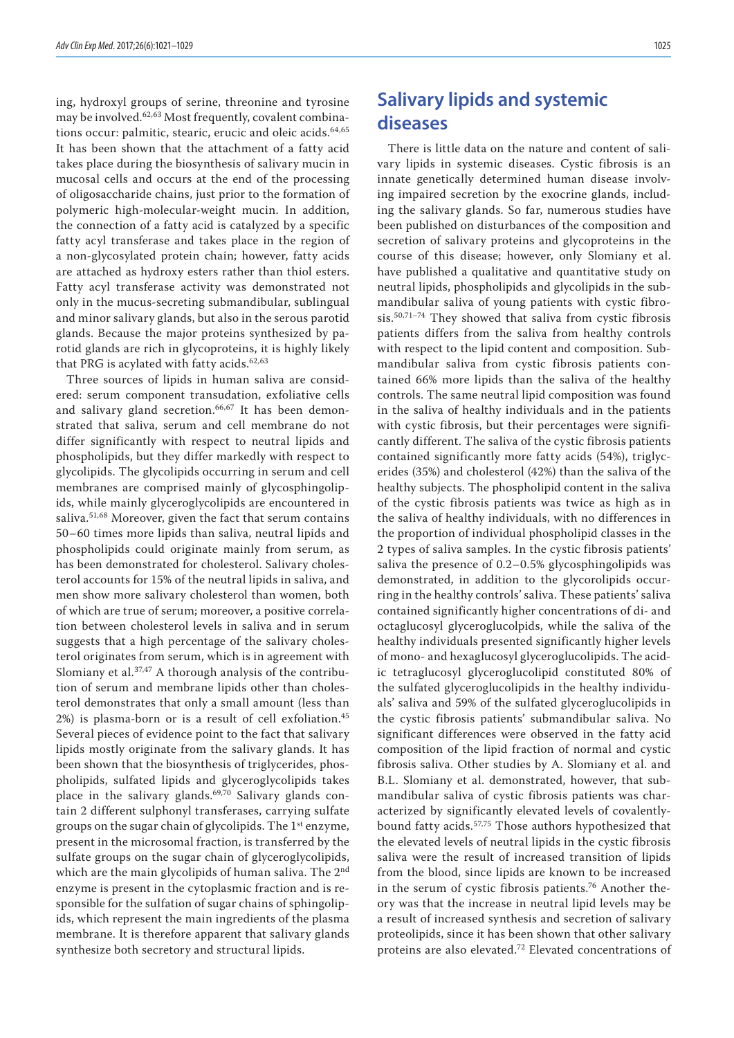ing, hydroxyl groups of serine, threonine and tyrosine may be involved.<sup>62,63</sup> Most frequently, covalent combinations occur: palmitic, stearic, erucic and oleic acids.<sup>64,65</sup> It has been shown that the attachment of a fatty acid takes place during the biosynthesis of salivary mucin in mucosal cells and occurs at the end of the processing of oligosaccharide chains, just prior to the formation of polymeric high-molecular-weight mucin. In addition, the connection of a fatty acid is catalyzed by a specific fatty acyl transferase and takes place in the region of a non-glycosylated protein chain; however, fatty acids are attached as hydroxy esters rather than thiol esters. Fatty acyl transferase activity was demonstrated not only in the mucus-secreting submandibular, sublingual and minor salivary glands, but also in the serous parotid glands. Because the major proteins synthesized by parotid glands are rich in glycoproteins, it is highly likely that PRG is acylated with fatty acids. $62,63$ 

Three sources of lipids in human saliva are considered: serum component transudation, exfoliative cells and salivary gland secretion.<sup>66,67</sup> It has been demonstrated that saliva, serum and cell membrane do not differ significantly with respect to neutral lipids and phospholipids, but they differ markedly with respect to glycolipids. The glycolipids occurring in serum and cell membranes are comprised mainly of glycosphingolipids, while mainly glyceroglycolipids are encountered in saliva.<sup>51,68</sup> Moreover, given the fact that serum contains 50–60 times more lipids than saliva, neutral lipids and phospholipids could originate mainly from serum, as has been demonstrated for cholesterol. Salivary cholesterol accounts for 15% of the neutral lipids in saliva, and men show more salivary cholesterol than women, both of which are true of serum; moreover, a positive correlation between cholesterol levels in saliva and in serum suggests that a high percentage of the salivary cholesterol originates from serum, which is in agreement with Slomiany et al.37,47 A thorough analysis of the contribution of serum and membrane lipids other than cholesterol demonstrates that only a small amount (less than 2%) is plasma-born or is a result of cell exfoliation.45 Several pieces of evidence point to the fact that salivary lipids mostly originate from the salivary glands. It has been shown that the biosynthesis of triglycerides, phospholipids, sulfated lipids and glyceroglycolipids takes place in the salivary glands.<sup>69,70</sup> Salivary glands contain 2 different sulphonyl transferases, carrying sulfate groups on the sugar chain of glycolipids. The 1<sup>st</sup> enzyme, present in the microsomal fraction, is transferred by the sulfate groups on the sugar chain of glyceroglycolipids, which are the main glycolipids of human saliva. The 2<sup>nd</sup> enzyme is present in the cytoplasmic fraction and is responsible for the sulfation of sugar chains of sphingolipids, which represent the main ingredients of the plasma membrane. It is therefore apparent that salivary glands synthesize both secretory and structural lipids.

# **Salivary lipids and systemic diseases**

There is little data on the nature and content of salivary lipids in systemic diseases. Cystic fibrosis is an innate genetically determined human disease involving impaired secretion by the exocrine glands, including the salivary glands. So far, numerous studies have been published on disturbances of the composition and secretion of salivary proteins and glycoproteins in the course of this disease; however, only Slomiany et al. have published a qualitative and quantitative study on neutral lipids, phospholipids and glycolipids in the submandibular saliva of young patients with cystic fibrosis.50,71–74 They showed that saliva from cystic fibrosis patients differs from the saliva from healthy controls with respect to the lipid content and composition. Submandibular saliva from cystic fibrosis patients contained 66% more lipids than the saliva of the healthy controls. The same neutral lipid composition was found in the saliva of healthy individuals and in the patients with cystic fibrosis, but their percentages were significantly different. The saliva of the cystic fibrosis patients contained significantly more fatty acids (54%), triglycerides (35%) and cholesterol (42%) than the saliva of the healthy subjects. The phospholipid content in the saliva of the cystic fibrosis patients was twice as high as in the saliva of healthy individuals, with no differences in the proportion of individual phospholipid classes in the 2 types of saliva samples. In the cystic fibrosis patients' saliva the presence of 0.2–0.5% glycosphingolipids was demonstrated, in addition to the glycorolipids occurring in the healthy controls' saliva. These patients' saliva contained significantly higher concentrations of di- and octaglucosyl glyceroglucolpids, while the saliva of the healthy individuals presented significantly higher levels of mono- and hexaglucosyl glyceroglucolipids. The acidic tetraglucosyl glyceroglucolipid constituted 80% of the sulfated glyceroglucolipids in the healthy individuals' saliva and 59% of the sulfated glyceroglucolipids in the cystic fibrosis patients' submandibular saliva. No significant differences were observed in the fatty acid composition of the lipid fraction of normal and cystic fibrosis saliva. Other studies by A. Slomiany et al. and B.L. Slomiany et al. demonstrated, however, that submandibular saliva of cystic fibrosis patients was characterized by significantly elevated levels of covalentlybound fatty acids.57,75 Those authors hypothesized that the elevated levels of neutral lipids in the cystic fibrosis saliva were the result of increased transition of lipids from the blood, since lipids are known to be increased in the serum of cystic fibrosis patients.76 Another theory was that the increase in neutral lipid levels may be a result of increased synthesis and secretion of salivary proteolipids, since it has been shown that other salivary proteins are also elevated.72 Elevated concentrations of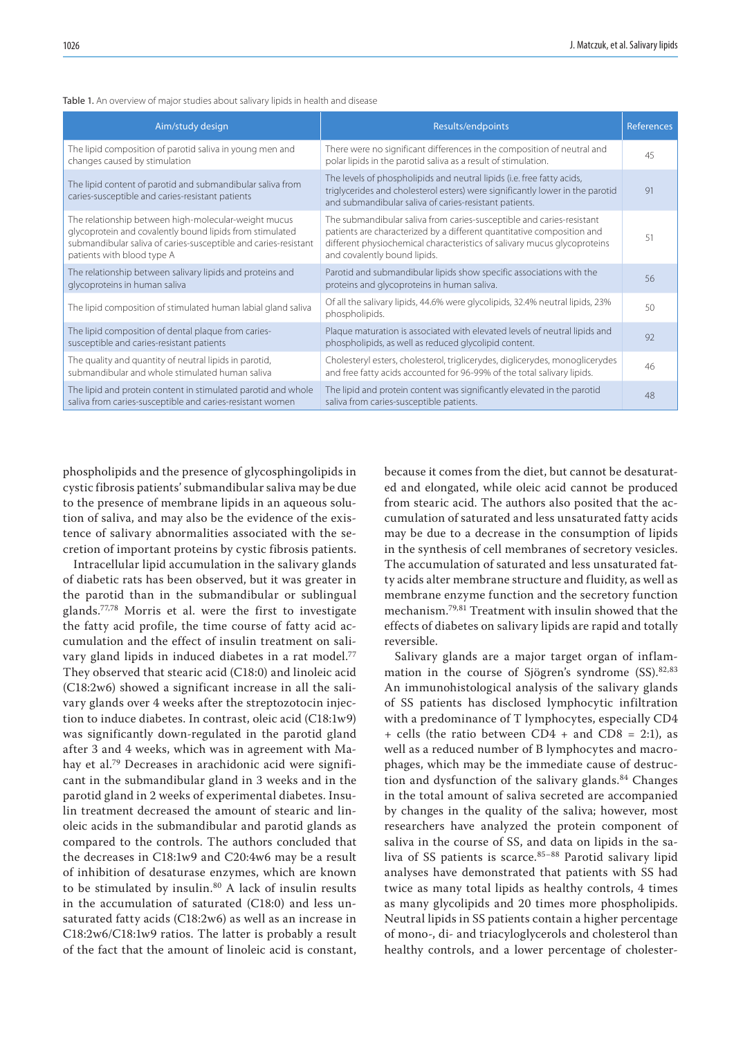#### Table 1. An overview of major studies about salivary lipids in health and disease

| Aim/study design                                                                                                                                                                                                  | Results/endpoints                                                                                                                                                                                                                                           | <b>References</b> |
|-------------------------------------------------------------------------------------------------------------------------------------------------------------------------------------------------------------------|-------------------------------------------------------------------------------------------------------------------------------------------------------------------------------------------------------------------------------------------------------------|-------------------|
| The lipid composition of parotid saliva in young men and<br>changes caused by stimulation                                                                                                                         | There were no significant differences in the composition of neutral and<br>polar lipids in the parotid saliva as a result of stimulation.                                                                                                                   | 45                |
| The lipid content of parotid and submandibular saliva from<br>caries-susceptible and caries-resistant patients                                                                                                    | The levels of phospholipids and neutral lipids (i.e. free fatty acids,<br>triglycerides and cholesterol esters) were significantly lower in the parotid<br>and submandibular saliva of caries-resistant patients.                                           | 91                |
| The relationship between high-molecular-weight mucus<br>glycoprotein and covalently bound lipids from stimulated<br>submandibular saliva of caries-susceptible and caries-resistant<br>patients with blood type A | The submandibular saliva from caries-susceptible and caries-resistant<br>patients are characterized by a different quantitative composition and<br>different physiochemical characteristics of salivary mucus glycoproteins<br>and covalently bound lipids. | 51                |
| The relationship between salivary lipids and proteins and<br>glycoproteins in human saliva                                                                                                                        | Parotid and submandibular lipids show specific associations with the<br>proteins and glycoproteins in human saliva.                                                                                                                                         | 56                |
| The lipid composition of stimulated human labial gland saliva                                                                                                                                                     | Of all the salivary lipids, 44.6% were glycolipids, 32.4% neutral lipids, 23%<br>phospholipids.                                                                                                                                                             | 50                |
| The lipid composition of dental plaque from caries-<br>susceptible and caries-resistant patients                                                                                                                  | Plaque maturation is associated with elevated levels of neutral lipids and<br>phospholipids, as well as reduced glycolipid content.                                                                                                                         | 92                |
| The quality and quantity of neutral lipids in parotid,<br>submandibular and whole stimulated human saliva                                                                                                         | Cholesteryl esters, cholesterol, triglicerydes, diglicerydes, monoglicerydes<br>and free fatty acids accounted for 96-99% of the total salivary lipids.                                                                                                     | 46                |
| The lipid and protein content in stimulated parotid and whole<br>saliva from caries-susceptible and caries-resistant women                                                                                        | The lipid and protein content was significantly elevated in the parotid<br>saliva from caries-susceptible patients.                                                                                                                                         | 48                |

phospholipids and the presence of glycosphingolipids in cystic fibrosis patients' submandibular saliva may be due to the presence of membrane lipids in an aqueous solution of saliva, and may also be the evidence of the existence of salivary abnormalities associated with the secretion of important proteins by cystic fibrosis patients.

Intracellular lipid accumulation in the salivary glands of diabetic rats has been observed, but it was greater in the parotid than in the submandibular or sublingual glands.77,78 Morris et al. were the first to investigate the fatty acid profile, the time course of fatty acid accumulation and the effect of insulin treatment on salivary gland lipids in induced diabetes in a rat model.<sup>77</sup> They observed that stearic acid (C18:0) and linoleic acid (C18:2w6) showed a significant increase in all the salivary glands over 4 weeks after the streptozotocin injection to induce diabetes. In contrast, oleic acid (C18:1w9) was significantly down-regulated in the parotid gland after 3 and 4 weeks, which was in agreement with Mahay et al.79 Decreases in arachidonic acid were significant in the submandibular gland in 3 weeks and in the parotid gland in 2 weeks of experimental diabetes. Insulin treatment decreased the amount of stearic and linoleic acids in the submandibular and parotid glands as compared to the controls. The authors concluded that the decreases in C18:1w9 and C20:4w6 may be a result of inhibition of desaturase enzymes, which are known to be stimulated by insulin.<sup>80</sup> A lack of insulin results in the accumulation of saturated (C18:0) and less unsaturated fatty acids (C18:2w6) as well as an increase in C18:2w6/C18:1w9 ratios. The latter is probably a result of the fact that the amount of linoleic acid is constant,

because it comes from the diet, but cannot be desaturated and elongated, while oleic acid cannot be produced from stearic acid. The authors also posited that the accumulation of saturated and less unsaturated fatty acids may be due to a decrease in the consumption of lipids in the synthesis of cell membranes of secretory vesicles. The accumulation of saturated and less unsaturated fatty acids alter membrane structure and fluidity, as well as membrane enzyme function and the secretory function mechanism.79,81 Treatment with insulin showed that the effects of diabetes on salivary lipids are rapid and totally reversible.

Salivary glands are a major target organ of inflammation in the course of Sjögren's syndrome (SS).<sup>82,83</sup> An immunohistological analysis of the salivary glands of SS patients has disclosed lymphocytic infiltration with a predominance of T lymphocytes, especially CD4 + cells (the ratio between CD4 + and CD8 = 2:1), as well as a reduced number of B lymphocytes and macrophages, which may be the immediate cause of destruction and dysfunction of the salivary glands. $84$  Changes in the total amount of saliva secreted are accompanied by changes in the quality of the saliva; however, most researchers have analyzed the protein component of saliva in the course of SS, and data on lipids in the saliva of SS patients is scarce.85–88 Parotid salivary lipid analyses have demonstrated that patients with SS had twice as many total lipids as healthy controls, 4 times as many glycolipids and 20 times more phospholipids. Neutral lipids in SS patients contain a higher percentage of mono-, di- and triacyloglycerols and cholesterol than healthy controls, and a lower percentage of cholester-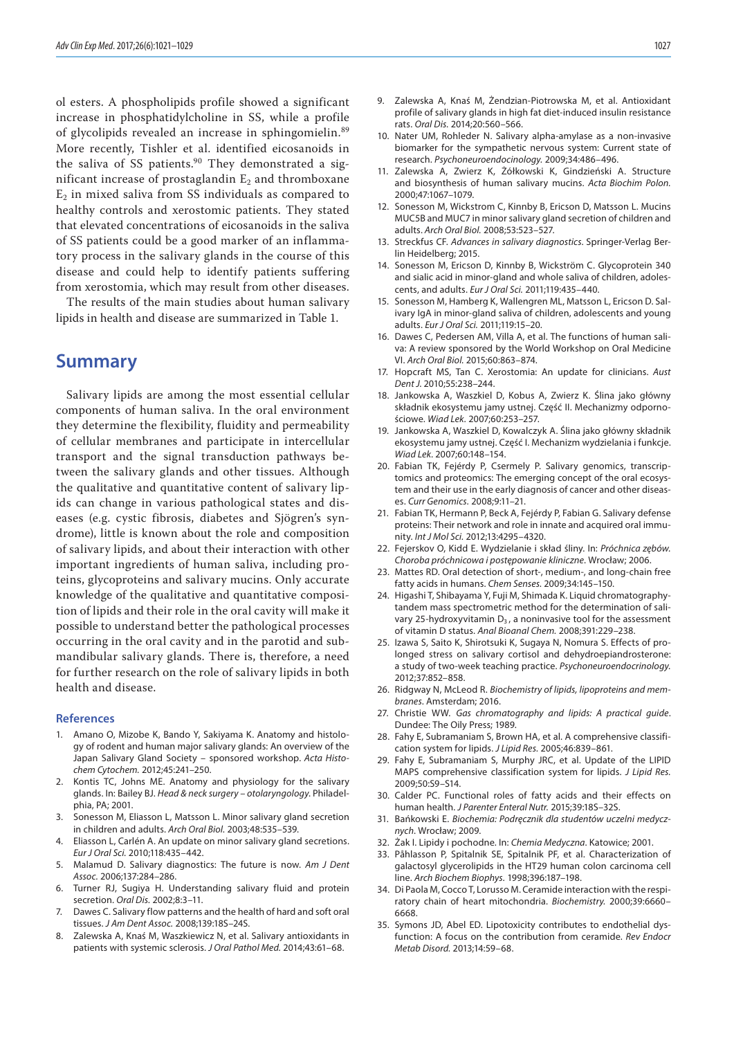ol esters. A phospholipids profile showed a significant increase in phosphatidylcholine in SS, while a profile of glycolipids revealed an increase in sphingomielin.<sup>89</sup> More recently, Tishler et al. identified eicosanoids in the saliva of SS patients.<sup>90</sup> They demonstrated a significant increase of prostaglandin  $E_2$  and thromboxane  $E_2$  in mixed saliva from SS individuals as compared to healthy controls and xerostomic patients. They stated that elevated concentrations of eicosanoids in the saliva of SS patients could be a good marker of an inflammatory process in the salivary glands in the course of this disease and could help to identify patients suffering from xerostomia, which may result from other diseases.

The results of the main studies about human salivary lipids in health and disease are summarized in Table 1.

### **Summary**

Salivary lipids are among the most essential cellular components of human saliva. In the oral environment they determine the flexibility, fluidity and permeability of cellular membranes and participate in intercellular transport and the signal transduction pathways between the salivary glands and other tissues. Although the qualitative and quantitative content of salivary lipids can change in various pathological states and diseases (e.g. cystic fibrosis, diabetes and Sjögren's syndrome), little is known about the role and composition of salivary lipids, and about their interaction with other important ingredients of human saliva, including proteins, glycoproteins and salivary mucins. Only accurate knowledge of the qualitative and quantitative composition of lipids and their role in the oral cavity will make it possible to understand better the pathological processes occurring in the oral cavity and in the parotid and submandibular salivary glands. There is, therefore, a need for further research on the role of salivary lipids in both health and disease.

#### **References**

- 1. Amano O, Mizobe K, Bando Y, Sakiyama K. Anatomy and histology of rodent and human major salivary glands: An overview of the Japan Salivary Gland Society – sponsored workshop. *Acta Histochem Cytochem.* 2012;45:241–250.
- Kontis TC, Johns ME. Anatomy and physiology for the salivary glands. In: Bailey BJ. *Head & neck surgery – otolaryngology*. Philadelphia, PA; 2001.
- 3. Sonesson M, Eliasson L, Matsson L. Minor salivary gland secretion in children and adults. *Arch Oral Biol.* 2003;48:535–539.
- 4. Eliasson L, Carlén A. An update on minor salivary gland secretions. *Eur J Oral Sci.* 2010;118:435–442.
- 5. Malamud D. Salivary diagnostics: The future is now. *Am J Dent Assoc.* 2006;137:284–286.
- 6. Turner RJ, Sugiya H. Understanding salivary fluid and protein secretion. *Oral Dis.* 2002;8:3–11.
- 7. Dawes C. Salivary flow patterns and the health of hard and soft oral tissues. *J Am Dent Assoc.* 2008;139:18S–24S.
- 8. Zalewska A, Knaś M, Waszkiewicz N, et al. Salivary antioxidants in patients with systemic sclerosis. *J Oral Pathol Med.* 2014;43:61–68.
- 9. Zalewska A, Knaś M, Żendzian-Piotrowska M, et al. Antioxidant profile of salivary glands in high fat diet-induced insulin resistance rats. *Oral Dis.* 2014;20:560–566.
- 10. Nater UM, Rohleder N. Salivary alpha-amylase as a non-invasive biomarker for the sympathetic nervous system: Current state of research. *Psychoneuroendocinology.* 2009;34:486–496.
- 11. Zalewska A, Zwierz K, Żółkowski K, Gindzieński A. Structure and biosynthesis of human salivary mucins. *Acta Biochim Polon.* 2000;47:1067–1079.
- 12. Sonesson M, Wickstrom C, Kinnby B, Ericson D, Matsson L. Mucins MUC5B and MUC7 in minor salivary gland secretion of children and adults. *Arch Oral Biol.* 2008;53:523–527.
- 13. Streckfus CF. *Advances in salivary diagnostics*. Springer-Verlag Berlin Heidelberg; 2015.
- 14. Sonesson M, Ericson D, Kinnby B, Wickström C. Glycoprotein 340 and sialic acid in minor-gland and whole saliva of children, adolescents, and adults. *Eur J Oral Sci.* 2011;119:435–440.
- 15. Sonesson M, Hamberg K, Wallengren ML, Matsson L, Ericson D. Salivary IgA in minor-gland saliva of children, adolescents and young adults. *Eur J Oral Sci.* 2011;119:15–20.
- 16. Dawes C, Pedersen AM, Villa A, et al. The functions of human saliva: A review sponsored by the World Workshop on Oral Medicine VI. *Arch Oral Biol.* 2015;60:863–874.
- 17. Hopcraft MS, Tan C. Xerostomia: An update for clinicians. *Aust Dent J.* 2010;55:238–244.
- 18. Jankowska A, Waszkiel D, Kobus A, Zwierz K. Ślina jako główny składnik ekosystemu jamy ustnej. Część II. Mechanizmy odpornościowe. *Wiad Lek.* 2007;60:253–257.
- 19. Jankowska A, Waszkiel D, Kowalczyk A. Ślina jako główny składnik ekosystemu jamy ustnej. Część I. Mechanizm wydzielania i funkcje. *Wiad Lek.* 2007;60:148–154.
- 20. Fabian TK, Fejérdy P, Csermely P. Salivary genomics, transcriptomics and proteomics: The emerging concept of the oral ecosystem and their use in the early diagnosis of cancer and other diseases. *Curr Genomics.* 2008;9:11–21.
- 21. Fabian TK, Hermann P, Beck A, Fejérdy P, Fabian G. Salivary defense proteins: Their network and role in innate and acquired oral immunity. *Int J Mol Sci.* 2012;13:4295–4320.
- 22. Fejerskov O, Kidd E. Wydzielanie i skład śliny. In: *Próchnica zębów. Choroba próchnicowa i postępowanie kliniczne*. Wrocław; 2006.
- 23. Mattes RD. Oral detection of short-, medium-, and long-chain free fatty acids in humans. *Chem Senses.* 2009;34:145–150.
- 24. Higashi T, Shibayama Y, Fuji M, Shimada K, Liquid chromatographytandem mass spectrometric method for the determination of salivary 25-hydroxyvitamin  $D_3$ , a noninvasive tool for the assessment of vitamin D status. *Anal Bioanal Chem.* 2008;391:229–238.
- 25. Izawa S, Saito K, Shirotsuki K, Sugaya N, Nomura S. Effects of prolonged stress on salivary cortisol and dehydroepiandrosterone: a study of two-week teaching practice. *Psychoneuroendocrinology.* 2012;37:852–858.
- 26. Ridgway N, McLeod R. *Biochemistry of lipids, lipoproteins and membranes*. Amsterdam; 2016.
- 27. Christie WW. *Gas chromatography and lipids: A practical guide*. Dundee: The Oily Press; 1989.
- 28. Fahy E, Subramaniam S, Brown HA, et al. A comprehensive classification system for lipids. *J Lipid Res.* 2005;46:839–861.
- 29. Fahy E, Subramaniam S, Murphy JRC, et al. Update of the LIPID MAPS comprehensive classification system for lipids. *J Lipid Res.* 2009;50:S9–S14.
- 30. Calder PC. Functional roles of fatty acids and their effects on human health. *J Parenter Enteral Nutr.* 2015;39:18S–32S.
- 31. Bańkowski E. *Biochemia: Podręcznik dla studentów uczelni medycznych*. Wrocław; 2009.
- 32. Żak I. Lipidy i pochodne. In: *Chemia Medyczna*. Katowice; 2001.
- 33. Påhlasson P, Spitalnik SE, Spitalnik PF, et al. Characterization of galactosyl glycerolipids in the HT29 human colon carcinoma cell line. *Arch Biochem Biophys.* 1998;396:187–198.
- 34. Di Paola M, Cocco T, Lorusso M. Ceramide interaction with the respiratory chain of heart mitochondria. *Biochemistry.* 2000;39:6660– 6668.
- 35. Symons JD, Abel ED. Lipotoxicity contributes to endothelial dysfunction: A focus on the contribution from ceramide. *Rev Endocr Metab Disord.* 2013;14:59–68.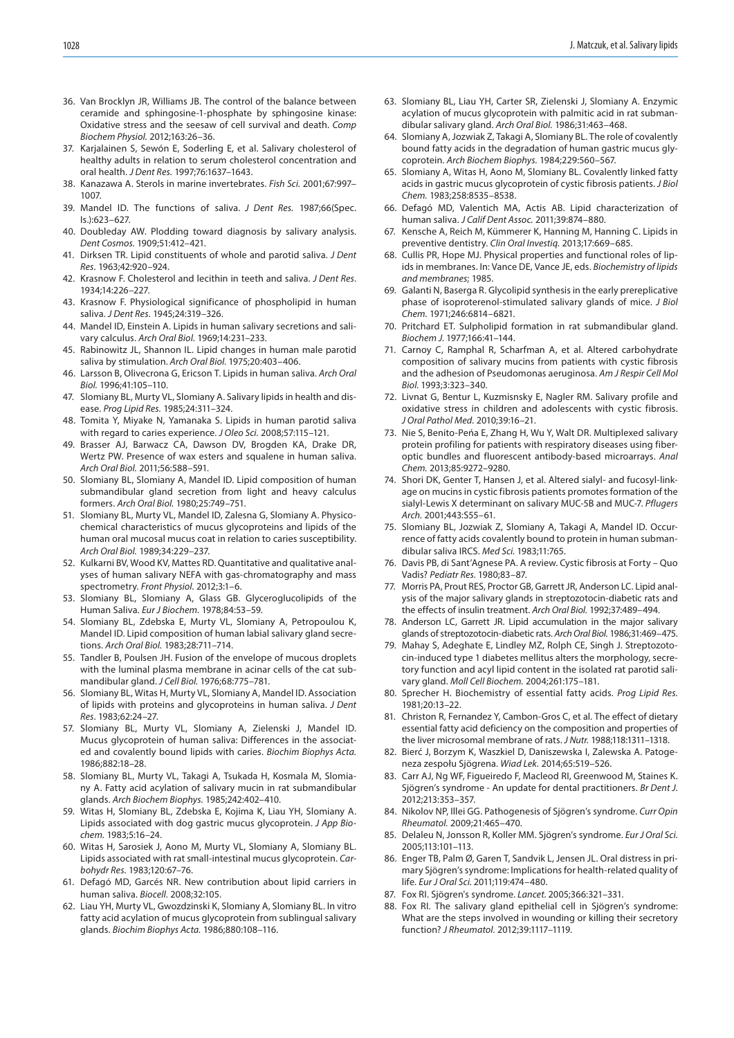- 36. Van Brocklyn JR, Williams JB. The control of the balance between ceramide and sphingosine-1-phosphate by sphingosine kinase: Oxidative stress and the seesaw of cell survival and death. *Comp Biochem Physiol.* 2012;163:26–36.
- 37. Karjalainen S, Sewón E, Soderling E, et al. Salivary cholesterol of healthy adults in relation to serum cholesterol concentration and oral health. *J Dent Res.* 1997;76:1637–1643.
- 38. Kanazawa A. Sterols in marine invertebrates. *Fish Sci.* 2001;67:997– 1007.
- 39. Mandel ID. The functions of saliva. *J Dent Res.* 1987;66(Spec. Is.):623–627.
- 40. Doubleday AW. Plodding toward diagnosis by salivary analysis. *Dent Cosmos.* 1909;51:412–421.
- 41. Dirksen TR. Lipid constituents of whole and parotid saliva. *J Dent Res.* 1963;42:920–924.
- 42. Krasnow F. Cholesterol and lecithin in teeth and saliva. *J Dent Res*. 1934;14:226–227.
- 43. Krasnow F. Physiological significance of phospholipid in human saliva. *J Dent Res.* 1945;24:319–326.
- 44. Mandel ID, Einstein A. Lipids in human salivary secretions and salivary calculus. *Arch Oral Biol.* 1969;14:231–233.
- 45. Rabinowitz JL, Shannon IL. Lipid changes in human male parotid saliva by stimulation. *Arch Oral Biol.* 1975;20:403–406.
- 46. Larsson B, Olivecrona G, Ericson T. Lipids in human saliva. *Arch Oral Biol.* 1996;41:105–110.
- 47. Slomiany BL, Murty VL, Slomiany A. Salivary lipids in health and disease. *Prog Lipid Res.* 1985;24:311–324.
- 48. Tomita Y, Miyake N, Yamanaka S. Lipids in human parotid saliva with regard to caries experience. *J Oleo Sci.* 2008;57:115–121.
- 49. Brasser AJ, Barwacz CA, Dawson DV, Brogden KA, Drake DR, Wertz PW. Presence of wax esters and squalene in human saliva. *Arch Oral Biol.* 2011;56:588–591.
- 50. Slomiany BL, Slomiany A, Mandel ID. Lipid composition of human submandibular gland secretion from light and heavy calculus formers. *Arch Oral Biol.* 1980;25:749–751.
- 51. Slomiany BL, Murty VL, Mandel ID, Zalesna G, Slomiany A. Physicochemical characteristics of mucus glycoproteins and lipids of the human oral mucosal mucus coat in relation to caries susceptibility. *Arch Oral Biol.* 1989;34:229–237.
- 52. Kulkarni BV, Wood KV, Mattes RD. Quantitative and qualitative analyses of human salivary NEFA with gas-chromatography and mass spectrometry. *Front Physiol.* 2012;3:1–6.
- 53. Slomiany BL, Slomiany A, Glass GB. Glyceroglucolipids of the Human Saliva. *Eur J Biochem.* 1978;84:53–59.
- 54. Slomiany BL, Zdebska E, Murty VL, Slomiany A, Petropoulou K, Mandel ID. Lipid composition of human labial salivary gland secretions. *Arch Oral Biol.* 1983;28:711–714.
- 55. Tandler B, Poulsen JH. Fusion of the envelope of mucous droplets with the luminal plasma membrane in acinar cells of the cat submandibular gland. *J Cell Biol.* 1976;68:775–781.
- 56. Slomiany BL, Witas H, Murty VL, Slomiany A, Mandel ID. Association of lipids with proteins and glycoproteins in human saliva. *J Dent Res*. 1983;62:24–27.
- 57. Slomiany BL, Murty VL, Slomiany A, Zielenski J, Mandel ID. Mucus glycoprotein of human saliva: Differences in the associated and covalently bound lipids with caries. *Biochim Biophys Acta.* 1986;882:18–28.
- 58. Slomiany BL, Murty VL, Takagi A, Tsukada H, Kosmala M, Slomiany A. Fatty acid acylation of salivary mucin in rat submandibular glands. *Arch Biochem Biophys.* 1985;242:402–410.
- 59. Witas H, Slomiany BL, Zdebska E, Kojima K, Liau YH, Slomiany A. Lipids associated with dog gastric mucus glycoprotein. *J App Biochem.* 1983;5:16–24.
- 60. Witas H, Sarosiek J, Aono M, Murty VL, Slomiany A, Slomiany BL. Lipids associated with rat small-intestinal mucus glycoprotein. *Carbohydr Res.* 1983;120:67–76.
- 61. Defagó MD, Garcés NR. New contribution about lipid carriers in human saliva. *Biocell.* 2008;32:105.
- 62. Liau YH, Murty VL, Gwozdzinski K, Slomiany A, Slomiany BL. In vitro fatty acid acylation of mucus glycoprotein from sublingual salivary glands. *Biochim Biophys Acta.* 1986;880:108–116.
- 63. Slomiany BL, Liau YH, Carter SR, Zielenski J, Slomiany A. Enzymic acylation of mucus glycoprotein with palmitic acid in rat submandibular salivary gland. *Arch Oral Biol.* 1986;31:463–468.
- 64. Slomiany A, Jozwiak Z, Takagi A, Slomiany BL. The role of covalently bound fatty acids in the degradation of human gastric mucus glycoprotein. *Arch Biochem Biophys.* 1984;229:560–567.
- 65. Slomiany A, Witas H, Aono M, Slomiany BL. Covalently linked fatty acids in gastric mucus glycoprotein of cystic fibrosis patients. *J Biol Chem.* 1983;258:8535–8538.
- 66. Defagó MD, Valentich MA, Actis AB. Lipid characterization of human saliva. *J Calif Dent Assoc.* 2011;39:874–880.
- 67. Kensche A, Reich M, Kümmerer K, Hanning M, Hanning C. Lipids in preventive dentistry. *Clin Oral Investiq.* 2013;17:669–685.
- 68. Cullis PR, Hope MJ. Physical properties and functional roles of lipids in membranes. In: Vance DE, Vance JE, eds. *Biochemistry of lipids and membranes*; 1985.
- 69. Galanti N, Baserga R. Glycolipid synthesis in the early prereplicative phase of isoproterenol-stimulated salivary glands of mice. *J Biol Chem.* 1971;246:6814–6821.
- 70. Pritchard ET. Sulpholipid formation in rat submandibular gland. *Biochem J.* 1977;166:41–144.
- 71. Carnoy C, Ramphal R, Scharfman A, et al. Altered carbohydrate composition of salivary mucins from patients with cystic fibrosis and the adhesion of Pseudomonas aeruginosa. *Am J Respir Cell Mol Biol.* 1993;3:323–340.
- 72. Livnat G, Bentur L, Kuzmisnsky E, Nagler RM. Salivary profile and oxidative stress in children and adolescents with cystic fibrosis. *J Oral Pathol Med.* 2010;39:16–21.
- 73. Nie S, Benito-Peńa E, Zhang H, Wu Y, Walt DR. Multiplexed salivary protein profiling for patients with respiratory diseases using fiberoptic bundles and fluorescent antibody-based microarrays. *Anal Chem.* 2013;85:9272–9280.
- 74. Shori DK, Genter T, Hansen J, et al. Altered sialyl- and fucosyl-linkage on mucins in cystic fibrosis patients promotes formation of the sialyl-Lewis X determinant on salivary MUC-5B and MUC-7. *Pflugers Arch.* 2001;443:S55–61.
- 75. Slomiany BL, Jozwiak Z, Slomiany A, Takagi A, Mandel ID. Occurrence of fatty acids covalently bound to protein in human submandibular saliva IRCS. *Med Sci.* 1983;11:765.
- 76. Davis PB, di Sant'Agnese PA. A review. Cystic fibrosis at Forty Quo Vadis? *Pediatr Res.* 1980;83–87.
- 77. Morris PA, Prout RES, Proctor GB, Garrett JR, Anderson LC. Lipid analysis of the major salivary glands in streptozotocin-diabetic rats and the effects of insulin treatment. *Arch Oral Biol.* 1992;37:489–494.
- 78. Anderson LC, Garrett JR. Lipid accumulation in the major salivary glands of streptozotocin-diabetic rats. *Arch Oral Biol.* 1986;31:469–475.
- 79. Mahay S, Adeghate E, Lindley MZ, Rolph CE, Singh J. Streptozotocin-induced type 1 diabetes mellitus alters the morphology, secretory function and acyl lipid content in the isolated rat parotid salivary gland. *Moll Cell Biochem.* 2004;261:175–181.
- 80. Sprecher H. Biochemistry of essential fatty acids. *Prog Lipid Res.*  1981;20:13–22.
- 81. Christon R, Fernandez Y, Cambon-Gros C, et al. The effect of dietary essential fatty acid deficiency on the composition and properties of the liver microsomal membrane of rats. *J Nutr.* 1988;118:1311–1318.
- 82. Bierć J, Borzym K, Waszkiel D, Daniszewska I, Zalewska A. Patogeneza zespołu Sjögrena. *Wiad Lek.* 2014;65:519–526.
- 83. Carr AJ, Ng WF, Figueiredo F, Macleod RI, Greenwood M, Staines K. Sjögren's syndrome - An update for dental practitioners. *Br Dent J.*  2012;213:353–357.
- 84. Nikolov NP, Illei GG. Pathogenesis of Sjögren's syndrome. *Curr Opin Rheumatol.* 2009;21:465–470.
- 85. Delaleu N, Jonsson R, Koller MM. Sjögren's syndrome. *Eur J Oral Sci.*  2005;113:101–113.
- 86. Enger TB, Palm Ø, Garen T, Sandvik L, Jensen JL. Oral distress in primary Sjögren's syndrome: Implications for health-related quality of life. *Eur J Oral Sci.* 2011;119:474–480.
- 87. Fox RI. Sjögren's syndrome. *Lancet.* 2005;366:321–331.
- 88. Fox RI. The salivary gland epithelial cell in Sjögren's syndrome: What are the steps involved in wounding or killing their secretory function? *J Rheumatol.* 2012;39:1117–1119.